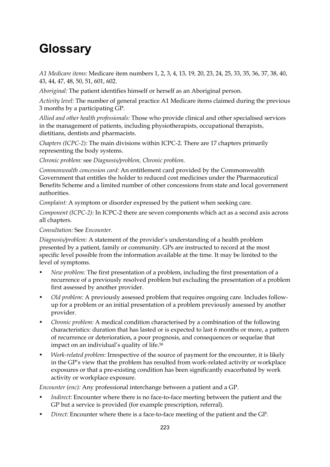## **Glossary**

*A1 Medicare items:* Medicare item numbers 1, 2, 3, 4, 13, 19, 20, 23, 24, 25, 33, 35, 36, 37, 38, 40, 43, 44, 47, 48, 50, 51, 601, 602.

*Aboriginal:* The patient identifies himself or herself as an Aboriginal person.

*Activity level:* The number of general practice A1 Medicare items claimed during the previous 3 months by a participating GP.

*Allied and other health professionals:* Those who provide clinical and other specialised services in the management of patients, including physiotherapists, occupational therapists, dietitians, dentists and pharmacists.

*Chapters (ICPC-2):* The main divisions within ICPC-2. There are 17 chapters primarily representing the body systems.

*Chronic problem:* see *Diagnosis/problem, Chronic problem.*

*Commonwealth concession card:* An entitlement card provided by the Commonwealth Government that entitles the holder to reduced cost medicines under the Pharmaceutical Benefits Scheme and a limited number of other concessions from state and local government authorities.

*Complaint:* A symptom or disorder expressed by the patient when seeking care.

*Component (ICPC-2):* In ICPC-2 there are seven components which act as a second axis across all chapters.

*Consultation:* See *Encounter.* 

*Diagnosis/problem:* A statement of the provider's understanding of a health problem presented by a patient, family or community. GPs are instructed to record at the most specific level possible from the information available at the time. It may be limited to the level of symptoms.

- *New problem:* The first presentation of a problem, including the first presentation of a recurrence of a previously resolved problem but excluding the presentation of a problem first assessed by another provider.
- *Old problem:* A previously assessed problem that requires ongoing care. Includes followup for a problem or an initial presentation of a problem previously assessed by another provider.
- *Chronic problem:* A medical condition characterised by a combination of the following characteristics: duration that has lasted or is expected to last 6 months or more, a pattern of recurrence or deterioration, a poor prognosis, and consequences or sequelae that impact on an individual's quality of life.58
- *Work-related problem:* Irrespective of the source of payment for the encounter, it is likely in the GP's view that the problem has resulted from work-related activity or workplace exposures or that a pre-existing condition has been significantly exacerbated by work activity or workplace exposure.

*Encounter (enc):* Any professional interchange between a patient and a GP.

- *Indirect:* Encounter where there is no face-to-face meeting between the patient and the GP but a service is provided (for example prescription, referral).
- *Direct:* Encounter where there is a face-to-face meeting of the patient and the GP.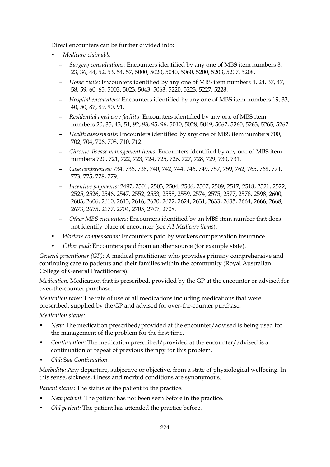Direct encounters can be further divided into:

- *Medicare-claimable*
	- *Surgery consultations:* Encounters identified by any one of MBS item numbers 3, 23, 36, 44, 52, 53, 54, 57, 5000, 5020, 5040, 5060, 5200, 5203, 5207, 5208.
	- *Home visits:* Encounters identified by any one of MBS item numbers 4, 24, 37, 47, 58, 59, 60, 65, 5003, 5023, 5043, 5063, 5220, 5223, 5227, 5228.
	- *Hospital encounters:* Encounters identified by any one of MBS item numbers 19, 33, 40, 50, 87, 89, 90, 91.
	- *Residential aged care facility:* Encounters identified by any one of MBS item numbers 20, 35, 43, 51, 92, 93, 95, 96, 5010, 5028, 5049, 5067, 5260, 5263, 5265, 5267.
	- *Health assessments:* Encounters identified by any one of MBS item numbers 700, 702, 704, 706, 708, 710, 712.
	- *Chronic disease management items:* Encounters identified by any one of MBS item numbers 720, 721, 722, 723, 724, 725, 726, 727, 728, 729, 730, 731.
	- *Case conferences:* 734, 736, 738, 740, 742, 744, 746, 749, 757, 759, 762, 765, 768, 771, 773, 775, 778, 779.
	- *Incentive payments:* 2497, 2501, 2503, 2504, 2506, 2507, 2509, 2517, 2518, 2521, 2522, 2525, 2526, 2546, 2547, 2552, 2553, 2558, 2559, 2574, 2575, 2577, 2578, 2598, 2600, 2603, 2606, 2610, 2613, 2616, 2620, 2622, 2624, 2631, 2633, 2635, 2664, 2666, 2668, 2673, 2675, 2677, 2704, 2705, 2707, 2708.
	- *Other MBS encounters:* Encounters identified by an MBS item number that does not identify place of encounter (see *A1 Medicare items*).
- *Workers compensation:* Encounters paid by workers compensation insurance.
- *Other paid:* Encounters paid from another source (for example state).

*General practitioner (GP):* A medical practitioner who provides primary comprehensive and continuing care to patients and their families within the community (Royal Australian College of General Practitioners).

*Medication:* Medication that is prescribed, provided by the GP at the encounter or advised for over-the-counter purchase.

*Medication rates:* The rate of use of all medications including medications that were prescribed, supplied by the GP and advised for over-the-counter purchase.

*Medication status:* 

- *New:* The medication prescribed/provided at the encounter/advised is being used for the management of the problem for the first time.
- *Continuation:* The medication prescribed/provided at the encounter/advised is a continuation or repeat of previous therapy for this problem.
- *Old:* See *Continuation.*

*Morbidity:* Any departure, subjective or objective, from a state of physiological wellbeing. In this sense, sickness, illness and morbid conditions are synonymous.

*Patient status:* The status of the patient to the practice.

- *New patient*: The patient has not been seen before in the practice.
- *Old patient:* The patient has attended the practice before.